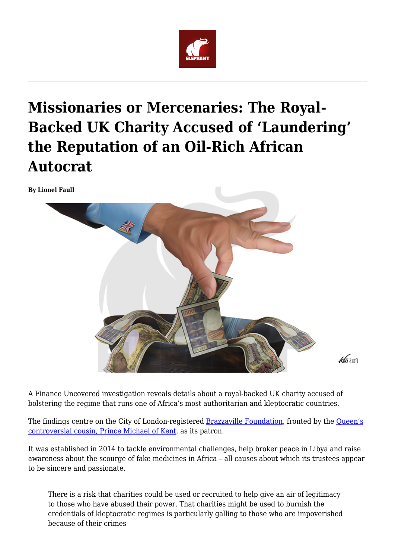

# **Missionaries or Mercenaries: The Royal-Backed UK Charity Accused of 'Laundering' the Reputation of an Oil-Rich African Autocrat**

**By Lionel Faull**



A Finance Uncovered investigation reveals details about a royal-backed UK charity accused of bolstering the regime that runs one of Africa's most authoritarian and kleptocratic countries.

The findings centre on the City of London-registered **[Brazzaville Foundation](http://brazzavillefoundation.org/en/)**, fronted by the **Queen's** [controversial cousin, Prince Michael of Kent,](https://www.dailymail.co.uk/news/article-2143711/Queens-cousin-given-320-000-controversial-Russian-oligarch-pay-grace-favour-flat-upkeep.html?ito=feeds-%E2%80%A63/39) as its patron.

 $45209$ 

It was established in 2014 to tackle environmental challenges, help broker peace in Libya and raise awareness about the scourge of fake medicines in Africa – all causes about which its trustees appear to be sincere and passionate.

There is a risk that charities could be used or recruited to help give an air of legitimacy to those who have abused their power. That charities might be used to burnish the credentials of kleptocratic regimes is particularly galling to those who are impoverished because of their crimes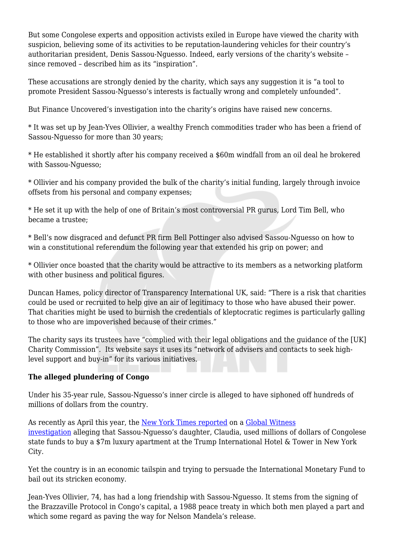But some Congolese experts and opposition activists exiled in Europe have viewed the charity with suspicion, believing some of its activities to be reputation-laundering vehicles for their country's authoritarian president, Denis Sassou-Nguesso. Indeed, early versions of the charity's website – since removed – described him as its "inspiration".

These accusations are strongly denied by the charity, which says any suggestion it is "a tool to promote President Sassou-Nguesso's interests is factually wrong and completely unfounded".

But Finance Uncovered's investigation into the charity's origins have raised new concerns.

\* It was set up by Jean-Yves Ollivier, a wealthy French commodities trader who has been a friend of Sassou-Nguesso for more than 30 years;

\* He established it shortly after his company received a \$60m windfall from an oil deal he brokered with Sassou-Nguesso;

\* Ollivier and his company provided the bulk of the charity's initial funding, largely through invoice offsets from his personal and company expenses;

\* He set it up with the help of one of Britain's most controversial PR gurus, Lord Tim Bell, who became a trustee;

\* Bell's now disgraced and defunct PR firm Bell Pottinger also advised Sassou-Nguesso on how to win a constitutional referendum the following year that extended his grip on power; and

\* Ollivier once boasted that the charity would be attractive to its members as a networking platform with other business and political figures.

Duncan Hames, policy director of Transparency International UK, said: "There is a risk that charities could be used or recruited to help give an air of legitimacy to those who have abused their power. That charities might be used to burnish the credentials of kleptocratic regimes is particularly galling to those who are impoverished because of their crimes."

The charity says its trustees have "complied with their legal obligations and the guidance of the [UK] Charity Commission". Its website says it uses its "network of advisers and contacts to seek highlevel support and buy-in" for its various initiatives.

## **The alleged plundering of Congo**

Under his 35-year rule, Sassou-Nguesso's inner circle is alleged to have siphoned off hundreds of millions of dollars from the country.

As recently as April this year, the [New York Times reported](https://www.nytimes.com/2019/04/10/business/trump-congo.html) on a [Global Witness](https://www.globalwitness.org/en/campaigns/corruption-and-money-laundering/trumps-luxury-condo-a-congolese-state-affair/) [investigation](https://www.globalwitness.org/en/campaigns/corruption-and-money-laundering/trumps-luxury-condo-a-congolese-state-affair/) alleging that Sassou-Nguesso's daughter, Claudia, used millions of dollars of Congolese state funds to buy a \$7m luxury apartment at the Trump International Hotel & Tower in New York City.

Yet the country is in an economic tailspin and trying to persuade the International Monetary Fund to bail out its stricken economy.

Jean-Yves Ollivier, 74, has had a long friendship with Sassou-Nguesso. It stems from the signing of the Brazzaville Protocol in Congo's capital, a 1988 peace treaty in which both men played a part and which some regard as paving the way for Nelson Mandela's release.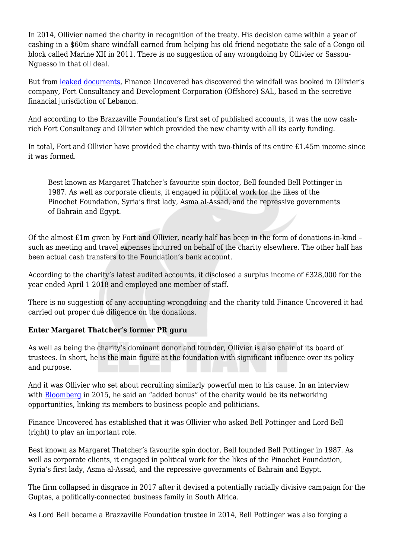In 2014, Ollivier named the charity in recognition of the treaty. His decision came within a year of cashing in a \$60m share windfall earned from helping his old friend negotiate the sale of a Congo oil block called Marine XII in 2011. There is no suggestion of any wrongdoing by Ollivier or Sassou-Nguesso in that oil deal.

But from [leaked](https://www.financeuncovered.org/wp-content/uploads/2019/05/121231_Fort-Consultancy-2012-Financial-Statements.pdf) [documents](https://www.financeuncovered.org/wp-content/uploads/2019/05/141231_Fort-Consultancy-2014-Financial-Statements.pdf), Finance Uncovered has discovered the windfall was booked in Ollivier's company, Fort Consultancy and Development Corporation (Offshore) SAL, based in the secretive financial jurisdiction of Lebanon.

And according to the Brazzaville Foundation's first set of published accounts, it was the now cashrich Fort Consultancy and Ollivier which provided the new charity with all its early funding.

In total, Fort and Ollivier have provided the charity with two-thirds of its entire £1.45m income since it was formed.

Best known as Margaret Thatcher's favourite spin doctor, Bell founded Bell Pottinger in 1987. As well as corporate clients, it engaged in political work for the likes of the Pinochet Foundation, Syria's first lady, Asma al-Assad, and the repressive governments of Bahrain and Egypt.

Of the almost £1m given by Fort and Ollivier, nearly half has been in the form of donations-in-kind – such as meeting and travel expenses incurred on behalf of the charity elsewhere. The other half has been actual cash transfers to the Foundation's bank account.

According to the charity's latest audited accounts, it disclosed a surplus income of £328,000 for the year ended April 1 2018 and employed one member of staff.

There is no suggestion of any accounting wrongdoing and the charity told Finance Uncovered it had carried out proper due diligence on the donations.

## **Enter Margaret Thatcher's former PR guru**

As well as being the charity's dominant donor and founder, Ollivier is also chair of its board of trustees. In short, he is the main figure at the foundation with significant influence over its policy and purpose.

And it was Ollivier who set about recruiting similarly powerful men to his cause. In an interview with **Bloomberg** in 2015, he said an "added bonus" of the charity would be its networking opportunities, linking its members to business people and politicians.

Finance Uncovered has established that it was Ollivier who asked Bell Pottinger and Lord Bell (right) to play an important role.

Best known as Margaret Thatcher's favourite spin doctor, Bell founded Bell Pottinger in 1987. As well as corporate clients, it engaged in political work for the likes of the Pinochet Foundation, Syria's first lady, Asma al-Assad, and the repressive governments of Bahrain and Egypt.

The firm collapsed in disgrace in 2017 after it devised a potentially racially divisive campaign for the Guptas, a politically-connected business family in South Africa.

As Lord Bell became a Brazzaville Foundation trustee in 2014, Bell Pottinger was also forging a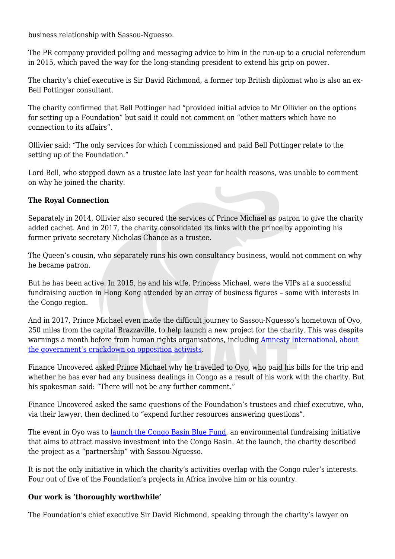business relationship with Sassou-Nguesso.

The PR company provided polling and messaging advice to him in the run-up to a crucial referendum in 2015, which paved the way for the long-standing president to extend his grip on power.

The charity's chief executive is Sir David Richmond, a former top British diplomat who is also an ex-Bell Pottinger consultant.

The charity confirmed that Bell Pottinger had "provided initial advice to Mr Ollivier on the options for setting up a Foundation" but said it could not comment on "other matters which have no connection to its affairs".

Ollivier said: "The only services for which I commissioned and paid Bell Pottinger relate to the setting up of the Foundation."

Lord Bell, who stepped down as a trustee late last year for health reasons, was unable to comment on why he joined the charity.

#### **The Royal Connection**

Separately in 2014, Ollivier also secured the services of Prince Michael as patron to give the charity added cachet. And in 2017, the charity consolidated its links with the prince by appointing his former private secretary Nicholas Chance as a trustee.

The Queen's cousin, who separately runs his own consultancy business, would not comment on why he became patron.

But he has been active. In 2015, he and his wife, Princess Michael, were the VIPs at a successful fundraising auction in Hong Kong attended by an array of business figures – some with interests in the Congo region.

And in 2017, Prince Michael even made the difficult journey to Sassou-Nguesso's hometown of Oyo, 250 miles from the capital Brazzaville, to help launch a new project for the charity. This was despite warnings a month before from human rights organisations, including [Amnesty International, about](https://www.amnesty.org/en/documents/pol10/4800/2017/en/) [the government's crackdown on opposition activists](https://www.amnesty.org/en/documents/pol10/4800/2017/en/).

Finance Uncovered asked Prince Michael why he travelled to Oyo, who paid his bills for the trip and whether he has ever had any business dealings in Congo as a result of his work with the charity. But his spokesman said: "There will not be any further comment."

Finance Uncovered asked the same questions of the Foundation's trustees and chief executive, who, via their lawyer, then declined to "expend further resources answering questions".

The event in Oyo was to [launch the Congo Basin Blue Fund,](http://brazzavillefoundation.org/images/En---CP-Blue-fund-annouce-Oyo.pdf) an environmental fundraising initiative that aims to attract massive investment into the Congo Basin. At the launch, the charity described the project as a "partnership" with Sassou-Nguesso.

It is not the only initiative in which the charity's activities overlap with the Congo ruler's interests. Four out of five of the Foundation's projects in Africa involve him or his country.

#### **Our work is 'thoroughly worthwhile'**

The Foundation's chief executive Sir David Richmond, speaking through the charity's lawyer on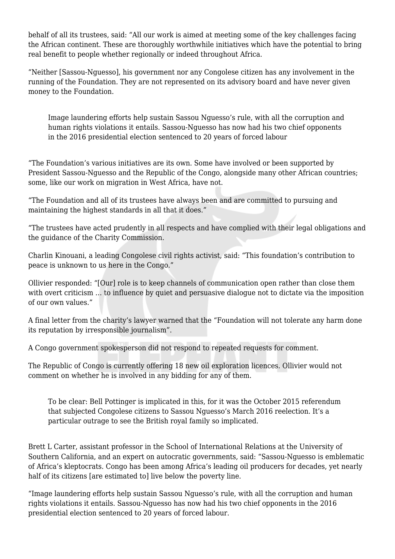behalf of all its trustees, said: "All our work is aimed at meeting some of the key challenges facing the African continent. These are thoroughly worthwhile initiatives which have the potential to bring real benefit to people whether regionally or indeed throughout Africa.

"Neither [Sassou-Nguesso], his government nor any Congolese citizen has any involvement in the running of the Foundation. They are not represented on its advisory board and have never given money to the Foundation.

Image laundering efforts help sustain Sassou Nguesso's rule, with all the corruption and human rights violations it entails. Sassou-Nguesso has now had his two chief opponents in the 2016 presidential election sentenced to 20 years of forced labour

"The Foundation's various initiatives are its own. Some have involved or been supported by President Sassou-Nguesso and the Republic of the Congo, alongside many other African countries; some, like our work on migration in West Africa, have not.

"The Foundation and all of its trustees have always been and are committed to pursuing and maintaining the highest standards in all that it does."

"The trustees have acted prudently in all respects and have complied with their legal obligations and the guidance of the Charity Commission.

Charlin Kinouani, a leading Congolese civil rights activist, said: "This foundation's contribution to peace is unknown to us here in the Congo."

Ollivier responded: "[Our] role is to keep channels of communication open rather than close them with overt criticism ... to influence by quiet and persuasive dialogue not to dictate via the imposition of our own values."

A final letter from the charity's lawyer warned that the "Foundation will not tolerate any harm done its reputation by irresponsible journalism".

A Congo government spokesperson did not respond to repeated requests for comment.

The Republic of Congo is currently offering 18 new oil exploration licences. Ollivier would not comment on whether he is involved in any bidding for any of them.

To be clear: Bell Pottinger is implicated in this, for it was the October 2015 referendum that subjected Congolese citizens to Sassou Nguesso's March 2016 reelection. It's a particular outrage to see the British royal family so implicated.

Brett L Carter, assistant professor in the School of International Relations at the University of Southern California, and an expert on autocratic governments, said: "Sassou-Nguesso is emblematic of Africa's kleptocrats. Congo has been among Africa's leading oil producers for decades, yet nearly half of its citizens [are estimated to] live below the poverty line.

"Image laundering efforts help sustain Sassou Nguesso's rule, with all the corruption and human rights violations it entails. Sassou-Nguesso has now had his two chief opponents in the 2016 presidential election sentenced to 20 years of forced labour.